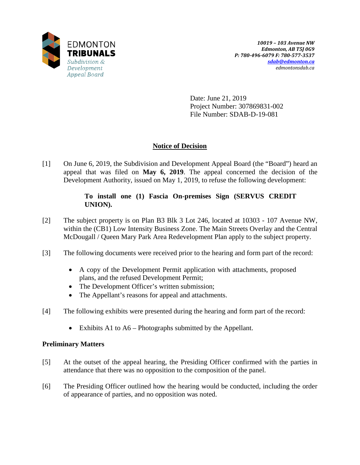

Date: June 21, 2019 Project Number: 307869831-002 File Number: SDAB-D-19-081

# **Notice of Decision**

[1] On June 6, 2019, the Subdivision and Development Appeal Board (the "Board") heard an appeal that was filed on **May 6, 2019**. The appeal concerned the decision of the Development Authority, issued on May 1, 2019, to refuse the following development:

# **To install one (1) Fascia On-premises Sign (SERVUS CREDIT UNION).**

- [2] The subject property is on Plan B3 Blk 3 Lot 246, located at 10303 107 Avenue NW, within the (CB1) Low Intensity Business Zone. The Main Streets Overlay and the Central McDougall / Queen Mary Park Area Redevelopment Plan apply to the subject property.
- [3] The following documents were received prior to the hearing and form part of the record:
	- A copy of the Development Permit application with attachments, proposed plans, and the refused Development Permit;
	- The Development Officer's written submission;
	- The Appellant's reasons for appeal and attachments.
- [4] The following exhibits were presented during the hearing and form part of the record:
	- Exhibits A1 to A6 Photographs submitted by the Appellant.

# **Preliminary Matters**

- [5] At the outset of the appeal hearing, the Presiding Officer confirmed with the parties in attendance that there was no opposition to the composition of the panel.
- [6] The Presiding Officer outlined how the hearing would be conducted, including the order of appearance of parties, and no opposition was noted.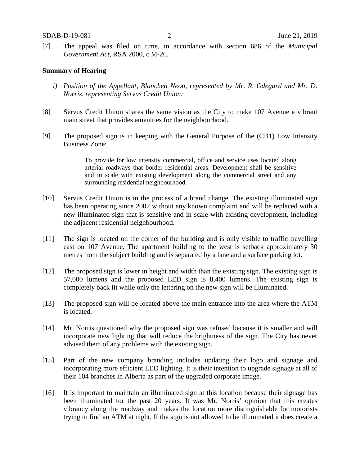[7] The appeal was filed on time, in accordance with section 686 of the *Municipal Government Act*, RSA 2000, c M-26.

#### **Summary of Hearing**

- *i) Position of the Appellant, Blanchett Neon, represented by Mr. R. Odegard and Mr. D. Norris, representing Servus Credit Union:*
- [8] Servus Credit Union shares the same vision as the City to make 107 Avenue a vibrant main street that provides amenities for the neighbourhood.
- [9] The proposed sign is in keeping with the General Purpose of the (CB1) Low Intensity Business Zone:

To provide for low intensity commercial, office and service uses located along arterial roadways that border residential areas. Development shall be sensitive and in scale with existing development along the commercial street and any surrounding residential neighbourhood.

- [10] Servus Credit Union is in the process of a brand change. The existing illuminated sign has been operating since 2007 without any known complaint and will be replaced with a new illuminated sign that is sensitive and in scale with existing development, including the adjacent residential neighbourhood.
- [11] The sign is located on the corner of the building and is only visible to traffic travelling east on 107 Avenue. The apartment building to the west is setback approximately 30 metres from the subject building and is separated by a lane and a surface parking lot.
- [12] The proposed sign is lower in height and width than the existing sign. The existing sign is 57,000 lumens and the proposed LED sign is 8,400 lumens. The existing sign is completely back lit while only the lettering on the new sign will be illuminated.
- [13] The proposed sign will be located above the main entrance into the area where the ATM is located.
- [14] Mr. Norris questioned why the proposed sign was refused because it is smaller and will incorporate new lighting that will reduce the brightness of the sign. The City has never advised them of any problems with the existing sign.
- [15] Part of the new company branding includes updating their logo and signage and incorporating more efficient LED lighting. It is their intention to upgrade signage at all of their 104 branches in Alberta as part of the upgraded corporate image.
- [16] It is important to maintain an illuminated sign at this location because their signage has been illuminated for the past 20 years. It was Mr. Norris' opinion that this creates vibrancy along the roadway and makes the location more distinguishable for motorists trying to find an ATM at night. If the sign is not allowed to be illuminated it does create a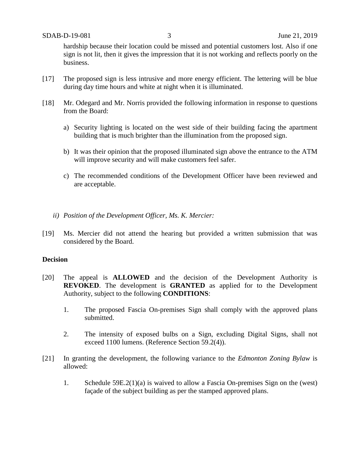hardship because their location could be missed and potential customers lost. Also if one sign is not lit, then it gives the impression that it is not working and reflects poorly on the business.

- [17] The proposed sign is less intrusive and more energy efficient. The lettering will be blue during day time hours and white at night when it is illuminated.
- [18] Mr. Odegard and Mr. Norris provided the following information in response to questions from the Board:
	- a) Security lighting is located on the west side of their building facing the apartment building that is much brighter than the illumination from the proposed sign.
	- b) It was their opinion that the proposed illuminated sign above the entrance to the ATM will improve security and will make customers feel safer.
	- c) The recommended conditions of the Development Officer have been reviewed and are acceptable.
	- *ii) Position of the Development Officer, Ms. K. Mercier:*
- [19] Ms. Mercier did not attend the hearing but provided a written submission that was considered by the Board.

#### **Decision**

- [20] The appeal is **ALLOWED** and the decision of the Development Authority is **REVOKED**. The development is **GRANTED** as applied for to the Development Authority, subject to the following **CONDITIONS**:
	- 1. The proposed Fascia On-premises Sign shall comply with the approved plans submitted.
	- 2. The intensity of exposed bulbs on a Sign, excluding Digital Signs, shall not exceed 1100 lumens. (Reference Section 59.2(4)).
- [21] In granting the development, the following variance to the *Edmonton Zoning Bylaw* is allowed:
	- 1. Schedule 59E.2(1)(a) is waived to allow a Fascia On-premises Sign on the (west) façade of the subject building as per the stamped approved plans.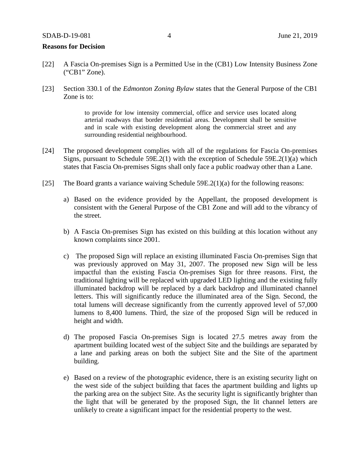#### **Reasons for Decision**

- [22] A Fascia On-premises Sign is a Permitted Use in the (CB1) Low Intensity Business Zone ("CB1" Zone).
- [23] Section 330.1 of the *Edmonton Zoning Bylaw* states that the General Purpose of the CB1 Zone is to:

to provide for low intensity commercial, office and service uses located along arterial roadways that border residential areas. Development shall be sensitive and in scale with existing development along the commercial street and any surrounding residential neighbourhood.

- [24] The proposed development complies with all of the regulations for Fascia On-premises Signs, pursuant to Schedule 59E.2(1) with the exception of Schedule 59E.2(1)(a) which states that Fascia On-premises Signs shall only face a public roadway other than a Lane.
- [25] The Board grants a variance waiving Schedule 59E.2(1)(a) for the following reasons:
	- a) Based on the evidence provided by the Appellant, the proposed development is consistent with the General Purpose of the CB1 Zone and will add to the vibrancy of the street.
	- b) A Fascia On-premises Sign has existed on this building at this location without any known complaints since 2001.
	- c) The proposed Sign will replace an existing illuminated Fascia On-premises Sign that was previously approved on May 31, 2007. The proposed new Sign will be less impactful than the existing Fascia On-premises Sign for three reasons. First, the traditional lighting will be replaced with upgraded LED lighting and the existing fully illuminated backdrop will be replaced by a dark backdrop and illuminated channel letters. This will significantly reduce the illuminated area of the Sign. Second, the total lumens will decrease significantly from the currently approved level of 57,000 lumens to 8,400 lumens. Third, the size of the proposed Sign will be reduced in height and width.
	- d) The proposed Fascia On-premises Sign is located 27.5 metres away from the apartment building located west of the subject Site and the buildings are separated by a lane and parking areas on both the subject Site and the Site of the apartment building.
	- e) Based on a review of the photographic evidence, there is an existing security light on the west side of the subject building that faces the apartment building and lights up the parking area on the subject Site. As the security light is significantly brighter than the light that will be generated by the proposed Sign, the lit channel letters are unlikely to create a significant impact for the residential property to the west.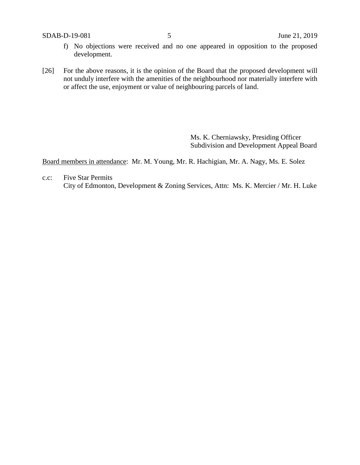SDAB-D-19-081 5 June 21, 2019

- f) No objections were received and no one appeared in opposition to the proposed development.
- [26] For the above reasons, it is the opinion of the Board that the proposed development will not unduly interfere with the amenities of the neighbourhood nor materially interfere with or affect the use, enjoyment or value of neighbouring parcels of land.

Ms. K. Cherniawsky, Presiding Officer Subdivision and Development Appeal Board

Board members in attendance: Mr. M. Young, Mr. R. Hachigian, Mr. A. Nagy, Ms. E. Solez

c.c: Five Star Permits City of Edmonton, Development & Zoning Services, Attn: Ms. K. Mercier / Mr. H. Luke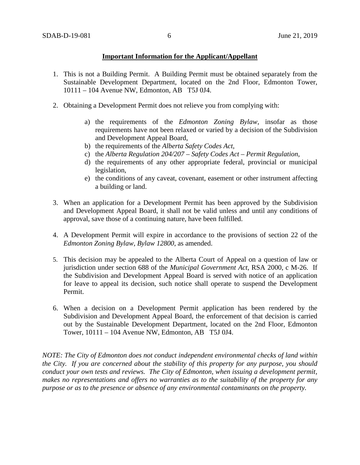#### **Important Information for the Applicant/Appellant**

- 1. This is not a Building Permit. A Building Permit must be obtained separately from the Sustainable Development Department, located on the 2nd Floor, Edmonton Tower, 10111 – 104 Avenue NW, Edmonton, AB T5J 0J4.
- 2. Obtaining a Development Permit does not relieve you from complying with:
	- a) the requirements of the *Edmonton Zoning Bylaw*, insofar as those requirements have not been relaxed or varied by a decision of the Subdivision and Development Appeal Board,
	- b) the requirements of the *Alberta Safety Codes Act*,
	- c) the *Alberta Regulation 204/207 – Safety Codes Act – Permit Regulation*,
	- d) the requirements of any other appropriate federal, provincial or municipal legislation,
	- e) the conditions of any caveat, covenant, easement or other instrument affecting a building or land.
- 3. When an application for a Development Permit has been approved by the Subdivision and Development Appeal Board, it shall not be valid unless and until any conditions of approval, save those of a continuing nature, have been fulfilled.
- 4. A Development Permit will expire in accordance to the provisions of section 22 of the *Edmonton Zoning Bylaw, Bylaw 12800*, as amended.
- 5. This decision may be appealed to the Alberta Court of Appeal on a question of law or jurisdiction under section 688 of the *Municipal Government Act*, RSA 2000, c M-26. If the Subdivision and Development Appeal Board is served with notice of an application for leave to appeal its decision, such notice shall operate to suspend the Development Permit.
- 6. When a decision on a Development Permit application has been rendered by the Subdivision and Development Appeal Board, the enforcement of that decision is carried out by the Sustainable Development Department, located on the 2nd Floor, Edmonton Tower, 10111 – 104 Avenue NW, Edmonton, AB T5J 0J4.

*NOTE: The City of Edmonton does not conduct independent environmental checks of land within the City. If you are concerned about the stability of this property for any purpose, you should conduct your own tests and reviews. The City of Edmonton, when issuing a development permit, makes no representations and offers no warranties as to the suitability of the property for any purpose or as to the presence or absence of any environmental contaminants on the property.*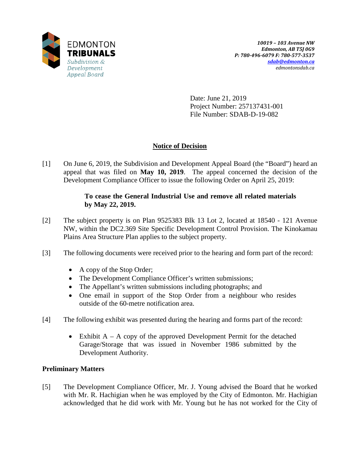

Date: June 21, 2019 Project Number: 257137431-001 File Number: SDAB-D-19-082

# **Notice of Decision**

[1] On June 6, 2019, the Subdivision and Development Appeal Board (the "Board") heard an appeal that was filed on **May 10, 2019**. The appeal concerned the decision of the Development Compliance Officer to issue the following Order on April 25, 2019:

# **To cease the General Industrial Use and remove all related materials by May 22, 2019.**

- [2] The subject property is on Plan 9525383 Blk 13 Lot 2, located at 18540 121 Avenue NW, within the DC2.369 Site Specific Development Control Provision. The Kinokamau Plains Area Structure Plan applies to the subject property.
- [3] The following documents were received prior to the hearing and form part of the record:
	- A copy of the Stop Order;
	- The Development Compliance Officer's written submissions;
	- The Appellant's written submissions including photographs; and
	- One email in support of the Stop Order from a neighbour who resides outside of the 60-metre notification area.
- [4] The following exhibit was presented during the hearing and forms part of the record:
	- Exhibit  $A A$  copy of the approved Development Permit for the detached Garage/Storage that was issued in November 1986 submitted by the Development Authority.

# **Preliminary Matters**

[5] The Development Compliance Officer, Mr. J. Young advised the Board that he worked with Mr. R. Hachigian when he was employed by the City of Edmonton. Mr. Hachigian acknowledged that he did work with Mr. Young but he has not worked for the City of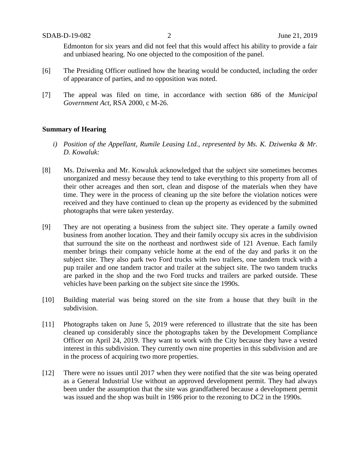Edmonton for six years and did not feel that this would affect his ability to provide a fair and unbiased hearing. No one objected to the composition of the panel.

- [6] The Presiding Officer outlined how the hearing would be conducted, including the order of appearance of parties, and no opposition was noted.
- [7] The appeal was filed on time, in accordance with section 686 of the *Municipal Government Act*, RSA 2000, c M-26.

#### **Summary of Hearing**

- *i) Position of the Appellant, Rumile Leasing Ltd., represented by Ms. K. Dziwenka & Mr. D. Kowaluk:*
- [8] Ms. Dziwenka and Mr. Kowaluk acknowledged that the subject site sometimes becomes unorganized and messy because they tend to take everything to this property from all of their other acreages and then sort, clean and dispose of the materials when they have time. They were in the process of cleaning up the site before the violation notices were received and they have continued to clean up the property as evidenced by the submitted photographs that were taken yesterday.
- [9] They are not operating a business from the subject site. They operate a family owned business from another location. They and their family occupy six acres in the subdivision that surround the site on the northeast and northwest side of 121 Avenue. Each family member brings their company vehicle home at the end of the day and parks it on the subject site. They also park two Ford trucks with two trailers, one tandem truck with a pup trailer and one tandem tractor and trailer at the subject site. The two tandem trucks are parked in the shop and the two Ford trucks and trailers are parked outside. These vehicles have been parking on the subject site since the 1990s.
- [10] Building material was being stored on the site from a house that they built in the subdivision.
- [11] Photographs taken on June 5, 2019 were referenced to illustrate that the site has been cleaned up considerably since the photographs taken by the Development Compliance Officer on April 24, 2019. They want to work with the City because they have a vested interest in this subdivision. They currently own nine properties in this subdivision and are in the process of acquiring two more properties.
- [12] There were no issues until 2017 when they were notified that the site was being operated as a General Industrial Use without an approved development permit. They had always been under the assumption that the site was grandfathered because a development permit was issued and the shop was built in 1986 prior to the rezoning to DC2 in the 1990s.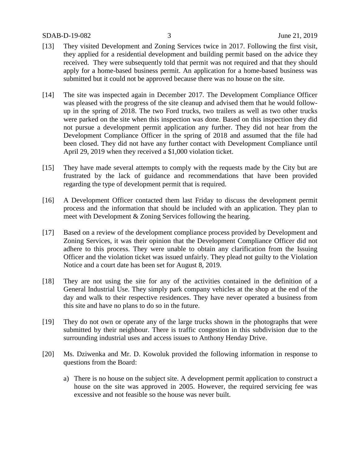- [13] They visited Development and Zoning Services twice in 2017. Following the first visit, they applied for a residential development and building permit based on the advice they received. They were subsequently told that permit was not required and that they should apply for a home-based business permit. An application for a home-based business was submitted but it could not be approved because there was no house on the site.
- [14] The site was inspected again in December 2017. The Development Compliance Officer was pleased with the progress of the site cleanup and advised them that he would followup in the spring of 2018. The two Ford trucks, two trailers as well as two other trucks were parked on the site when this inspection was done. Based on this inspection they did not pursue a development permit application any further. They did not hear from the Development Compliance Officer in the spring of 2018 and assumed that the file had been closed. They did not have any further contact with Development Compliance until April 29, 2019 when they received a \$1,000 violation ticket.
- [15] They have made several attempts to comply with the requests made by the City but are frustrated by the lack of guidance and recommendations that have been provided regarding the type of development permit that is required.
- [16] A Development Officer contacted them last Friday to discuss the development permit process and the information that should be included with an application. They plan to meet with Development & Zoning Services following the hearing.
- [17] Based on a review of the development compliance process provided by Development and Zoning Services, it was their opinion that the Development Compliance Officer did not adhere to this process. They were unable to obtain any clarification from the Issuing Officer and the violation ticket was issued unfairly. They plead not guilty to the Violation Notice and a court date has been set for August 8, 2019.
- [18] They are not using the site for any of the activities contained in the definition of a General Industrial Use. They simply park company vehicles at the shop at the end of the day and walk to their respective residences. They have never operated a business from this site and have no plans to do so in the future.
- [19] They do not own or operate any of the large trucks shown in the photographs that were submitted by their neighbour. There is traffic congestion in this subdivision due to the surrounding industrial uses and access issues to Anthony Henday Drive.
- [20] Ms. Dziwenka and Mr. D. Kowoluk provided the following information in response to questions from the Board:
	- a) There is no house on the subject site. A development permit application to construct a house on the site was approved in 2005. However, the required servicing fee was excessive and not feasible so the house was never built.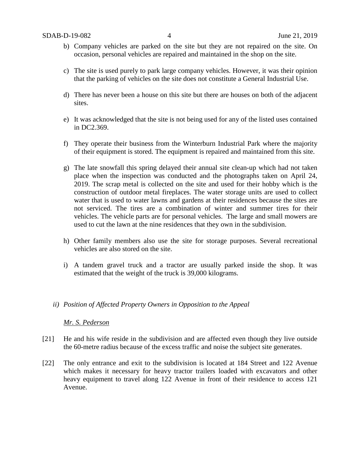- b) Company vehicles are parked on the site but they are not repaired on the site. On occasion, personal vehicles are repaired and maintained in the shop on the site.
- c) The site is used purely to park large company vehicles. However, it was their opinion that the parking of vehicles on the site does not constitute a General Industrial Use.
- d) There has never been a house on this site but there are houses on both of the adjacent sites.
- e) It was acknowledged that the site is not being used for any of the listed uses contained in DC2.369.
- f) They operate their business from the Winterburn Industrial Park where the majority of their equipment is stored. The equipment is repaired and maintained from this site.
- g) The late snowfall this spring delayed their annual site clean-up which had not taken place when the inspection was conducted and the photographs taken on April 24, 2019. The scrap metal is collected on the site and used for their hobby which is the construction of outdoor metal fireplaces. The water storage units are used to collect water that is used to water lawns and gardens at their residences because the sites are not serviced. The tires are a combination of winter and summer tires for their vehicles. The vehicle parts are for personal vehicles. The large and small mowers are used to cut the lawn at the nine residences that they own in the subdivision.
- h) Other family members also use the site for storage purposes. Several recreational vehicles are also stored on the site.
- i) A tandem gravel truck and a tractor are usually parked inside the shop. It was estimated that the weight of the truck is 39,000 kilograms.

#### *ii) Position of Affected Property Owners in Opposition to the Appeal*

#### *Mr. S. Pederson*

- [21] He and his wife reside in the subdivision and are affected even though they live outside the 60-metre radius because of the excess traffic and noise the subject site generates.
- [22] The only entrance and exit to the subdivision is located at 184 Street and 122 Avenue which makes it necessary for heavy tractor trailers loaded with excavators and other heavy equipment to travel along 122 Avenue in front of their residence to access 121 Avenue.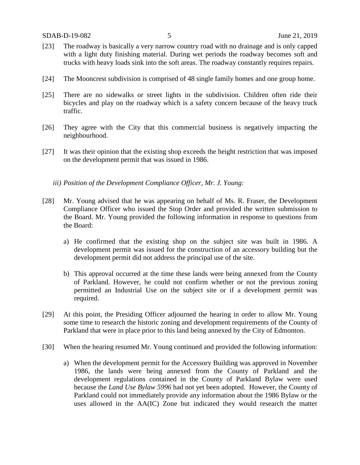- [23] The roadway is basically a very narrow country road with no drainage and is only capped with a light duty finishing material. During wet periods the roadway becomes soft and trucks with heavy loads sink into the soft areas. The roadway constantly requires repairs.
- [24] The Mooncrest subdivision is comprised of 48 single family homes and one group home.
- [25] There are no sidewalks or street lights in the subdivision. Children often ride their bicycles and play on the roadway which is a safety concern because of the heavy truck traffic.
- [26] They agree with the City that this commercial business is negatively impacting the neighbourhood.
- [27] It was their opinion that the existing shop exceeds the height restriction that was imposed on the development permit that was issued in 1986.
	- *iii) Position of the Development Compliance Officer, Mr. J. Young:*
- [28] Mr. Young advised that he was appearing on behalf of Ms. R. Fraser, the Development Compliance Officer who issued the Stop Order and provided the written submission to the Board. Mr. Young provided the following information in response to questions from the Board:
	- a) He confirmed that the existing shop on the subject site was built in 1986. A development permit was issued for the construction of an accessory building but the development permit did not address the principal use of the site.
	- b) This approval occurred at the time these lands were being annexed from the County of Parkland. However, he could not confirm whether or not the previous zoning permitted an Industrial Use on the subject site or if a development permit was required.
- [29] At this point, the Presiding Officer adjourned the hearing in order to allow Mr. Young some time to research the historic zoning and development requirements of the County of Parkland that were in place prior to this land being annexed by the City of Edmonton.
- [30] When the hearing resumed Mr. Young continued and provided the following information:
	- a) When the development permit for the Accessory Building was approved in November 1986, the lands were being annexed from the County of Parkland and the development regulations contained in the County of Parkland Bylaw were used because the *Land Use Bylaw 5996* had not yet been adopted. However, the County of Parkland could not immediately provide any information about the 1986 Bylaw or the uses allowed in the AA(IC) Zone but indicated they would research the matter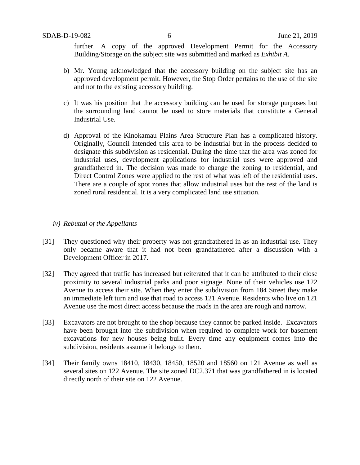further. A copy of the approved Development Permit for the Accessory Building/Storage on the subject site was submitted and marked as *Exhibit A*.

- b) Mr. Young acknowledged that the accessory building on the subject site has an approved development permit. However, the Stop Order pertains to the use of the site and not to the existing accessory building.
- c) It was his position that the accessory building can be used for storage purposes but the surrounding land cannot be used to store materials that constitute a General Industrial Use.
- d) Approval of the Kinokamau Plains Area Structure Plan has a complicated history. Originally, Council intended this area to be industrial but in the process decided to designate this subdivision as residential. During the time that the area was zoned for industrial uses, development applications for industrial uses were approved and grandfathered in. The decision was made to change the zoning to residential, and Direct Control Zones were applied to the rest of what was left of the residential uses. There are a couple of spot zones that allow industrial uses but the rest of the land is zoned rural residential. It is a very complicated land use situation.

#### *iv) Rebuttal of the Appellants*

- [31] They questioned why their property was not grandfathered in as an industrial use. They only became aware that it had not been grandfathered after a discussion with a Development Officer in 2017.
- [32] They agreed that traffic has increased but reiterated that it can be attributed to their close proximity to several industrial parks and poor signage. None of their vehicles use 122 Avenue to access their site. When they enter the subdivision from 184 Street they make an immediate left turn and use that road to access 121 Avenue. Residents who live on 121 Avenue use the most direct access because the roads in the area are rough and narrow.
- [33] Excavators are not brought to the shop because they cannot be parked inside. Excavators have been brought into the subdivision when required to complete work for basement excavations for new houses being built. Every time any equipment comes into the subdivision, residents assume it belongs to them.
- [34] Their family owns 18410, 18430, 18450, 18520 and 18560 on 121 Avenue as well as several sites on 122 Avenue. The site zoned DC2.371 that was grandfathered in is located directly north of their site on 122 Avenue.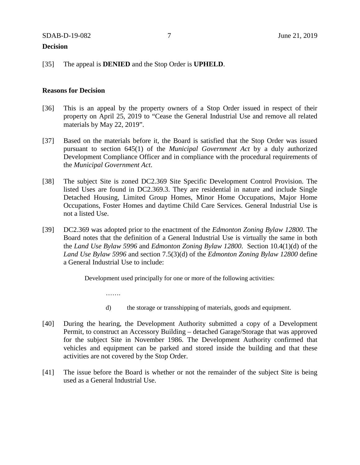#### **Decision**

#### [35] The appeal is **DENIED** and the Stop Order is **UPHELD**.

……

#### **Reasons for Decision**

- [36] This is an appeal by the property owners of a Stop Order issued in respect of their property on April 25, 2019 to "Cease the General Industrial Use and remove all related materials by May 22, 2019".
- [37] Based on the materials before it, the Board is satisfied that the Stop Order was issued pursuant to section 645(1) of the *Municipal Government Act* by a duly authorized Development Compliance Officer and in compliance with the procedural requirements of the *Municipal Government Act*.
- [38] The subject Site is zoned DC2.369 Site Specific Development Control Provision. The listed Uses are found in DC2.369.3. They are residential in nature and include Single Detached Housing, Limited Group Homes, Minor Home Occupations, Major Home Occupations, Foster Homes and daytime Child Care Services. General Industrial Use is not a listed Use.
- [39] DC2.369 was adopted prior to the enactment of the *Edmonton Zoning Bylaw 12800*. The Board notes that the definition of a General Industrial Use is virtually the same in both the *Land Use Bylaw 5996* and *Edmonton Zoning Bylaw 12800*. Section 10.4(1)(d) of the *Land Use Bylaw 5996* and section 7.5(3)(d) of the *Edmonton Zoning Bylaw 12800* define a General Industrial Use to include:

Development used principally for one or more of the following activities:

- d) the storage or transshipping of materials, goods and equipment.
- [40] During the hearing, the Development Authority submitted a copy of a Development Permit, to construct an Accessory Building – detached Garage/Storage that was approved for the subject Site in November 1986. The Development Authority confirmed that vehicles and equipment can be parked and stored inside the building and that these activities are not covered by the Stop Order.
- [41] The issue before the Board is whether or not the remainder of the subject Site is being used as a General Industrial Use.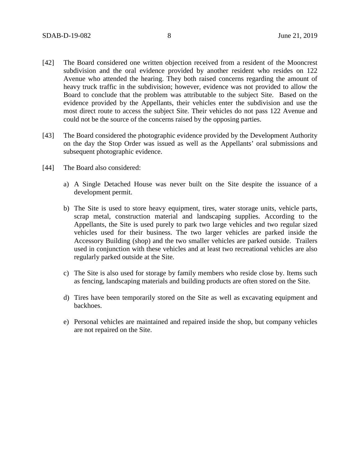- [42] The Board considered one written objection received from a resident of the Mooncrest subdivision and the oral evidence provided by another resident who resides on 122 Avenue who attended the hearing. They both raised concerns regarding the amount of heavy truck traffic in the subdivision; however, evidence was not provided to allow the Board to conclude that the problem was attributable to the subject Site. Based on the evidence provided by the Appellants, their vehicles enter the subdivision and use the most direct route to access the subject Site. Their vehicles do not pass 122 Avenue and could not be the source of the concerns raised by the opposing parties.
- [43] The Board considered the photographic evidence provided by the Development Authority on the day the Stop Order was issued as well as the Appellants' oral submissions and subsequent photographic evidence.
- [44] The Board also considered:
	- a) A Single Detached House was never built on the Site despite the issuance of a development permit.
	- b) The Site is used to store heavy equipment, tires, water storage units, vehicle parts, scrap metal, construction material and landscaping supplies. According to the Appellants, the Site is used purely to park two large vehicles and two regular sized vehicles used for their business. The two larger vehicles are parked inside the Accessory Building (shop) and the two smaller vehicles are parked outside. Trailers used in conjunction with these vehicles and at least two recreational vehicles are also regularly parked outside at the Site.
	- c) The Site is also used for storage by family members who reside close by. Items such as fencing, landscaping materials and building products are often stored on the Site.
	- d) Tires have been temporarily stored on the Site as well as excavating equipment and backhoes.
	- e) Personal vehicles are maintained and repaired inside the shop, but company vehicles are not repaired on the Site.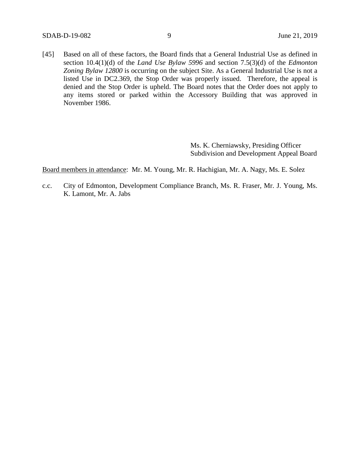[45] Based on all of these factors, the Board finds that a General Industrial Use as defined in section 10.4(1)(d) of the *Land Use Bylaw 5996* and section 7.5(3)(d) of the *Edmonton Zoning Bylaw 12800* is occurring on the subject Site. As a General Industrial Use is not a listed Use in DC2.369, the Stop Order was properly issued. Therefore, the appeal is denied and the Stop Order is upheld. The Board notes that the Order does not apply to any items stored or parked within the Accessory Building that was approved in November 1986.

> Ms. K. Cherniawsky, Presiding Officer Subdivision and Development Appeal Board

Board members in attendance: Mr. M. Young, Mr. R. Hachigian, Mr. A. Nagy, Ms. E. Solez

c.c. City of Edmonton, Development Compliance Branch, Ms. R. Fraser, Mr. J. Young, Ms. K. Lamont, Mr. A. Jabs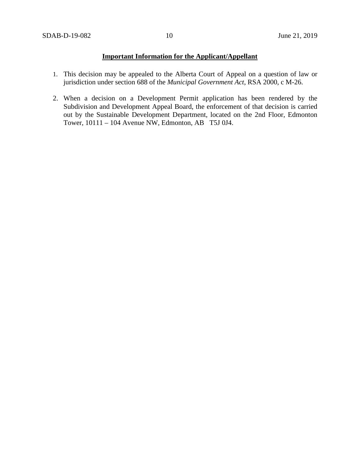# **Important Information for the Applicant/Appellant**

- 1. This decision may be appealed to the Alberta Court of Appeal on a question of law or jurisdiction under section 688 of the *Municipal Government Act*, RSA 2000, c M-26.
- 2. When a decision on a Development Permit application has been rendered by the Subdivision and Development Appeal Board, the enforcement of that decision is carried out by the Sustainable Development Department, located on the 2nd Floor, Edmonton Tower, 10111 – 104 Avenue NW, Edmonton, AB T5J 0J4.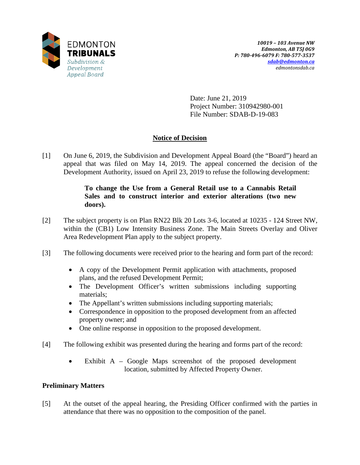

Date: June 21, 2019 Project Number: 310942980-001 File Number: SDAB-D-19-083

# **Notice of Decision**

[1] On June 6, 2019, the Subdivision and Development Appeal Board (the "Board") heard an appeal that was filed on May 14, 2019. The appeal concerned the decision of the Development Authority, issued on April 23, 2019 to refuse the following development:

# **To change the Use from a General Retail use to a Cannabis Retail Sales and to construct interior and exterior alterations (two new doors).**

- [2] The subject property is on Plan RN22 Blk 20 Lots 3-6, located at 10235 124 Street NW, within the (CB1) Low Intensity Business Zone. The Main Streets Overlay and Oliver Area Redevelopment Plan apply to the subject property.
- [3] The following documents were received prior to the hearing and form part of the record:
	- A copy of the Development Permit application with attachments, proposed plans, and the refused Development Permit;
	- The Development Officer's written submissions including supporting materials;
	- The Appellant's written submissions including supporting materials;
	- Correspondence in opposition to the proposed development from an affected property owner; and
	- One online response in opposition to the proposed development.
- [4] The following exhibit was presented during the hearing and forms part of the record:
	- Exhibit A Google Maps screenshot of the proposed development location, submitted by Affected Property Owner.

# **Preliminary Matters**

[5] At the outset of the appeal hearing, the Presiding Officer confirmed with the parties in attendance that there was no opposition to the composition of the panel.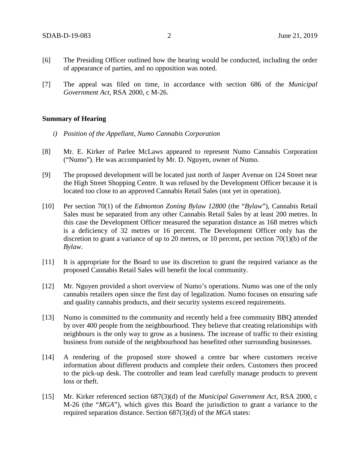- [6] The Presiding Officer outlined how the hearing would be conducted, including the order of appearance of parties, and no opposition was noted.
- [7] The appeal was filed on time, in accordance with section 686 of the *Municipal Government Act*, RSA 2000, c M-26.

#### **Summary of Hearing**

- *i) Position of the Appellant, Numo Cannabis Corporation*
- [8] Mr. E. Kirker of Parlee McLaws appeared to represent Numo Cannabis Corporation ("Numo"). He was accompanied by Mr. D. Nguyen, owner of Numo.
- [9] The proposed development will be located just north of Jasper Avenue on 124 Street near the High Street Shopping Centre. It was refused by the Development Officer because it is located too close to an approved Cannabis Retail Sales (not yet in operation).
- [10] Per section 70(1) of the *Edmonton Zoning Bylaw 12800* (the "*Bylaw*"), Cannabis Retail Sales must be separated from any other Cannabis Retail Sales by at least 200 metres. In this case the Development Officer measured the separation distance as 168 metres which is a deficiency of 32 metres or 16 percent. The Development Officer only has the discretion to grant a variance of up to 20 metres, or 10 percent, per section 70(1)(b) of the *Bylaw.*
- [11] It is appropriate for the Board to use its discretion to grant the required variance as the proposed Cannabis Retail Sales will benefit the local community.
- [12] Mr. Nguyen provided a short overview of Numo's operations. Numo was one of the only cannabis retailers open since the first day of legalization. Numo focuses on ensuring safe and quality cannabis products, and their security systems exceed requirements.
- [13] Numo is committed to the community and recently held a free community BBQ attended by over 400 people from the neighbourhood. They believe that creating relationships with neighbours is the only way to grow as a business. The increase of traffic to their existing business from outside of the neighbourhood has benefited other surrounding businesses.
- [14] A rendering of the proposed store showed a centre bar where customers receive information about different products and complete their orders. Customers then proceed to the pick-up desk. The controller and team lead carefully manage products to prevent loss or theft.
- [15] Mr. Kirker referenced section 687(3)(d) of the *Municipal Government Act*, RSA 2000, c M-26 (the "*MGA*"), which gives this Board the jurisdiction to grant a variance to the required separation distance. Section 687(3)(d) of the *MGA* states: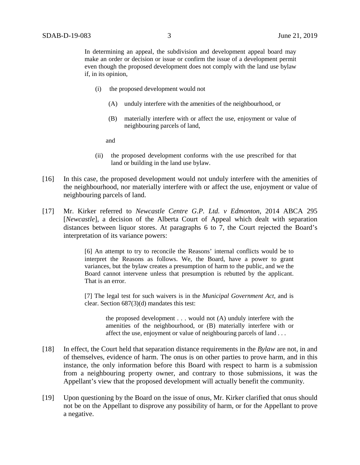In determining an appeal, the subdivision and development appeal board may make an order or decision or issue or confirm the issue of a development permit even though the proposed development does not comply with the land use bylaw if, in its opinion,

- (i) the proposed development would not
	- (A) unduly interfere with the amenities of the neighbourhood, or
	- (B) materially interfere with or affect the use, enjoyment or value of neighbouring parcels of land,

and

- (ii) the proposed development conforms with the use prescribed for that land or building in the land use bylaw.
- [16] In this case, the proposed development would not unduly interfere with the amenities of the neighbourhood, nor materially interfere with or affect the use, enjoyment or value of neighbouring parcels of land.
- [17] Mr. Kirker referred to *Newcastle Centre G.P. Ltd. v Edmonton*, 2014 ABCA 295 [*Newcastle*], a decision of the Alberta Court of Appeal which dealt with separation distances between liquor stores. At paragraphs 6 to 7, the Court rejected the Board's interpretation of its variance powers:

[6] An attempt to try to reconcile the Reasons' internal conflicts would be to interpret the Reasons as follows. We, the Board, have a power to grant variances, but the bylaw creates a presumption of harm to the public, and we the Board cannot intervene unless that presumption is rebutted by the applicant. That is an error.

[7] The legal test for such waivers is in the *Municipal Government Act*, and is clear. Section 687(3)(d) mandates this test:

> the proposed development . . . would not (A) unduly interfere with the amenities of the neighbourhood, or (B) materially interfere with or affect the use, enjoyment or value of neighbouring parcels of land . . .

- [18] In effect, the Court held that separation distance requirements in the *Bylaw* are not, in and of themselves, evidence of harm. The onus is on other parties to prove harm, and in this instance, the only information before this Board with respect to harm is a submission from a neighbouring property owner, and contrary to those submissions, it was the Appellant's view that the proposed development will actually benefit the community.
- [19] Upon questioning by the Board on the issue of onus, Mr. Kirker clarified that onus should not be on the Appellant to disprove any possibility of harm, or for the Appellant to prove a negative.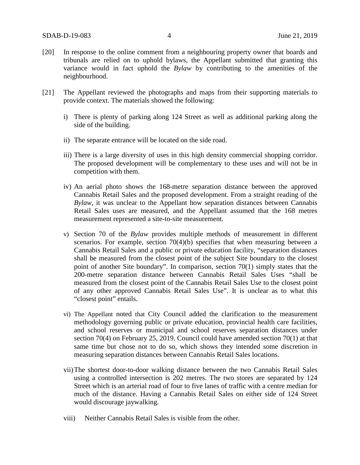- [20] In response to the online comment from a neighbouring property owner that boards and tribunals are relied on to uphold bylaws, the Appellant submitted that granting this variance would in fact uphold the *Bylaw* by contributing to the amenities of the neighbourhood.
- [21] The Appellant reviewed the photographs and maps from their supporting materials to provide context. The materials showed the following:
	- i) There is plenty of parking along 124 Street as well as additional parking along the side of the building.
	- ii) The separate entrance will be located on the side road.
	- iii) There is a large diversity of uses in this high density commercial shopping corridor. The proposed development will be complementary to these uses and will not be in competition with them.
	- iv) An aerial photo shows the 168-metre separation distance between the approved Cannabis Retail Sales and the proposed development. From a straight reading of the *Bylaw*, it was unclear to the Appellant how separation distances between Cannabis Retail Sales uses are measured, and the Appellant assumed that the 168 metres measurement represented a site-to-site measurement.
	- v) Section 70 of the *Bylaw* provides multiple methods of measurement in different scenarios. For example, section 70(4)(b) specifies that when measuring between a Cannabis Retail Sales and a public or private education facility, "separation distances shall be measured from the closest point of the subject Site boundary to the closest point of another Site boundary". In comparison, section 70(1) simply states that the 200-metre separation distance between Cannabis Retail Sales Uses "shall be measured from the closest point of the Cannabis Retail Sales Use to the closest point of any other approved Cannabis Retail Sales Use". It is unclear as to what this "closest point" entails.
	- vi) The Appellant noted that City Council added the clarification to the measurement methodology governing public or private education, provincial health care facilities, and school reserves or municipal and school reserves separation distances under section 70(4) on February 25, 2019. Council could have amended section 70(1) at that same time but chose not to do so, which shows they intended some discretion in measuring separation distances between Cannabis Retail Sales locations.
	- vii)The shortest door-to-door walking distance between the two Cannabis Retail Sales using a controlled intersection is 202 metres. The two stores are separated by 124 Street which is an arterial road of four to five lanes of traffic with a centre median for much of the distance. Having a Cannabis Retail Sales on either side of 124 Street would discourage jaywalking.
	- viii) Neither Cannabis Retail Sales is visible from the other.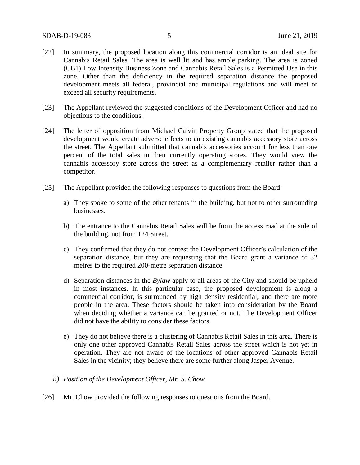- [22] In summary, the proposed location along this commercial corridor is an ideal site for Cannabis Retail Sales. The area is well lit and has ample parking. The area is zoned (CB1) Low Intensity Business Zone and Cannabis Retail Sales is a Permitted Use in this zone. Other than the deficiency in the required separation distance the proposed development meets all federal, provincial and municipal regulations and will meet or exceed all security requirements.
- [23] The Appellant reviewed the suggested conditions of the Development Officer and had no objections to the conditions.
- [24] The letter of opposition from Michael Calvin Property Group stated that the proposed development would create adverse effects to an existing cannabis accessory store across the street. The Appellant submitted that cannabis accessories account for less than one percent of the total sales in their currently operating stores. They would view the cannabis accessory store across the street as a complementary retailer rather than a competitor.
- [25] The Appellant provided the following responses to questions from the Board:
	- a) They spoke to some of the other tenants in the building, but not to other surrounding businesses.
	- b) The entrance to the Cannabis Retail Sales will be from the access road at the side of the building, not from 124 Street.
	- c) They confirmed that they do not contest the Development Officer's calculation of the separation distance, but they are requesting that the Board grant a variance of 32 metres to the required 200-metre separation distance.
	- d) Separation distances in the *Bylaw* apply to all areas of the City and should be upheld in most instances. In this particular case, the proposed development is along a commercial corridor, is surrounded by high density residential, and there are more people in the area. These factors should be taken into consideration by the Board when deciding whether a variance can be granted or not. The Development Officer did not have the ability to consider these factors.
	- e) They do not believe there is a clustering of Cannabis Retail Sales in this area. There is only one other approved Cannabis Retail Sales across the street which is not yet in operation. They are not aware of the locations of other approved Cannabis Retail Sales in the vicinity; they believe there are some further along Jasper Avenue.
	- *ii) Position of the Development Officer, Mr. S. Chow*
- [26] Mr. Chow provided the following responses to questions from the Board.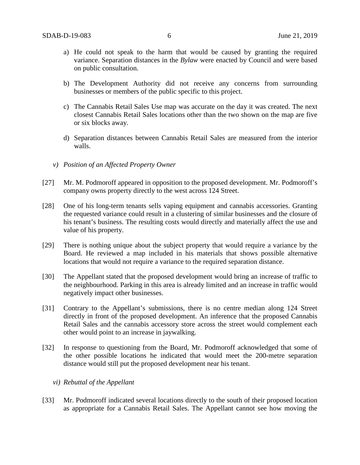- a) He could not speak to the harm that would be caused by granting the required variance. Separation distances in the *Bylaw* were enacted by Council and were based on public consultation.
- b) The Development Authority did not receive any concerns from surrounding businesses or members of the public specific to this project.
- c) The Cannabis Retail Sales Use map was accurate on the day it was created. The next closest Cannabis Retail Sales locations other than the two shown on the map are five or six blocks away.
- d) Separation distances between Cannabis Retail Sales are measured from the interior walls.
- *v) Position of an Affected Property Owner*
- [27] Mr. M. Podmoroff appeared in opposition to the proposed development. Mr. Podmoroff's company owns property directly to the west across 124 Street.
- [28] One of his long-term tenants sells vaping equipment and cannabis accessories. Granting the requested variance could result in a clustering of similar businesses and the closure of his tenant's business. The resulting costs would directly and materially affect the use and value of his property.
- [29] There is nothing unique about the subject property that would require a variance by the Board. He reviewed a map included in his materials that shows possible alternative locations that would not require a variance to the required separation distance.
- [30] The Appellant stated that the proposed development would bring an increase of traffic to the neighbourhood. Parking in this area is already limited and an increase in traffic would negatively impact other businesses.
- [31] Contrary to the Appellant's submissions, there is no centre median along 124 Street directly in front of the proposed development. An inference that the proposed Cannabis Retail Sales and the cannabis accessory store across the street would complement each other would point to an increase in jaywalking.
- [32] In response to questioning from the Board, Mr. Podmoroff acknowledged that some of the other possible locations he indicated that would meet the 200-metre separation distance would still put the proposed development near his tenant.
	- *vi) Rebuttal of the Appellant*
- [33] Mr. Podmoroff indicated several locations directly to the south of their proposed location as appropriate for a Cannabis Retail Sales. The Appellant cannot see how moving the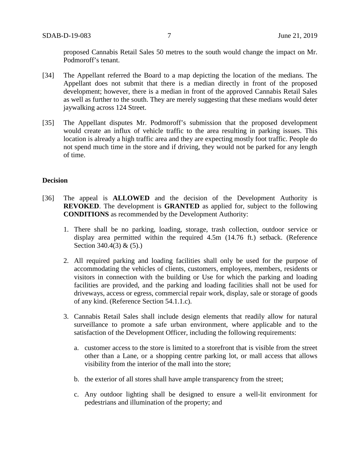proposed Cannabis Retail Sales 50 metres to the south would change the impact on Mr. Podmoroff's tenant.

- [34] The Appellant referred the Board to a map depicting the location of the medians. The Appellant does not submit that there is a median directly in front of the proposed development; however, there is a median in front of the approved Cannabis Retail Sales as well as further to the south. They are merely suggesting that these medians would deter jaywalking across 124 Street.
- [35] The Appellant disputes Mr. Podmoroff's submission that the proposed development would create an influx of vehicle traffic to the area resulting in parking issues. This location is already a high traffic area and they are expecting mostly foot traffic. People do not spend much time in the store and if driving, they would not be parked for any length of time.

#### **Decision**

- [36] The appeal is **ALLOWED** and the decision of the Development Authority is **REVOKED**. The development is **GRANTED** as applied for, subject to the following **CONDITIONS** as recommended by the Development Authority:
	- 1. There shall be no parking, loading, storage, trash collection, outdoor service or display area permitted within the required 4.5m (14.76 ft.) setback. (Reference Section 340.4(3) & (5).)
	- 2. All required parking and loading facilities shall only be used for the purpose of accommodating the vehicles of clients, customers, employees, members, residents or visitors in connection with the building or Use for which the parking and loading facilities are provided, and the parking and loading facilities shall not be used for driveways, access or egress, commercial repair work, display, sale or storage of goods of any kind. (Reference Section 54.1.1.c).
	- 3. Cannabis Retail Sales shall include design elements that readily allow for natural surveillance to promote a safe urban environment, where applicable and to the satisfaction of the Development Officer, including the following requirements:
		- a. customer access to the store is limited to a storefront that is visible from the street other than a Lane, or a shopping centre parking lot, or mall access that allows visibility from the interior of the mall into the store;
		- b. the exterior of all stores shall have ample transparency from the street;
		- c. Any outdoor lighting shall be designed to ensure a well-lit environment for pedestrians and illumination of the property; and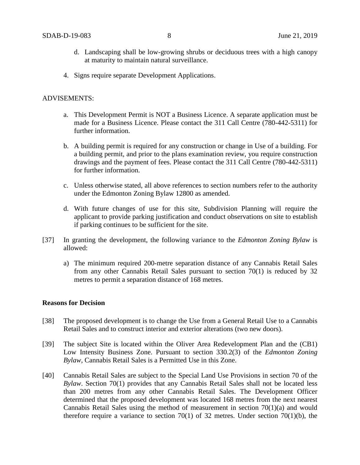- d. Landscaping shall be low-growing shrubs or deciduous trees with a high canopy at maturity to maintain natural surveillance.
- 4. Signs require separate Development Applications.

#### ADVISEMENTS:

- a. This Development Permit is NOT a Business Licence. A separate application must be made for a Business Licence. Please contact the 311 Call Centre (780-442-5311) for further information.
- b. A building permit is required for any construction or change in Use of a building. For a building permit, and prior to the plans examination review, you require construction drawings and the payment of fees. Please contact the 311 Call Centre (780-442-5311) for further information.
- c. Unless otherwise stated, all above references to section numbers refer to the authority under the Edmonton Zoning Bylaw 12800 as amended.
- d. With future changes of use for this site, Subdivision Planning will require the applicant to provide parking justification and conduct observations on site to establish if parking continues to be sufficient for the site.
- [37] In granting the development, the following variance to the *Edmonton Zoning Bylaw* is allowed:
	- a) The minimum required 200-metre separation distance of any Cannabis Retail Sales from any other Cannabis Retail Sales pursuant to section 70(1) is reduced by 32 metres to permit a separation distance of 168 metres.

#### **Reasons for Decision**

- [38] The proposed development is to change the Use from a General Retail Use to a Cannabis Retail Sales and to construct interior and exterior alterations (two new doors).
- [39] The subject Site is located within the Oliver Area Redevelopment Plan and the (CB1) Low Intensity Business Zone. Pursuant to section 330.2(3) of the *Edmonton Zoning Bylaw,* Cannabis Retail Sales is a Permitted Use in this Zone.
- [40] Cannabis Retail Sales are subject to the Special Land Use Provisions in section 70 of the *Bylaw*. Section 70(1) provides that any Cannabis Retail Sales shall not be located less than 200 metres from any other Cannabis Retail Sales. The Development Officer determined that the proposed development was located 168 metres from the next nearest Cannabis Retail Sales using the method of measurement in section 70(1)(a) and would therefore require a variance to section  $70(1)$  of 32 metres. Under section  $70(1)(b)$ , the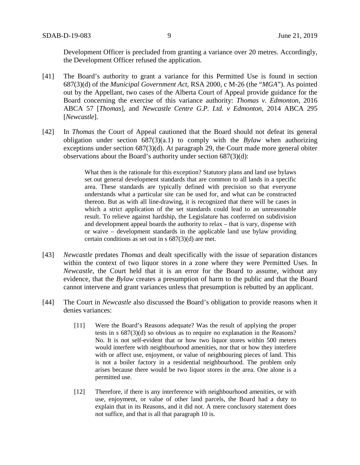Development Officer is precluded from granting a variance over 20 metres. Accordingly, the Development Officer refused the application.

- [41] The Board's authority to grant a variance for this Permitted Use is found in section 687(3)(d) of the *Municipal Government Act,* RSA 2000, c M-26 (the "*MGA*"). As pointed out by the Appellant, two cases of the Alberta Court of Appeal provide guidance for the Board concerning the exercise of this variance authority: *Thomas v. Edmonton*, 2016 ABCA 57 [*Thomas*], and *Newcastle Centre G.P. Ltd. v Edmonton*, 2014 ABCA 295 [*Newcastle*].
- [42] In *Thomas* the Court of Appeal cautioned that the Board should not defeat its general obligation under section 687(3)(a.1) to comply with the *Bylaw* when authorizing exceptions under section 687(3)(d). At paragraph 29*,* the Court made more general obiter observations about the Board's authority under section 687(3)(d):

What then is the rationale for this exception? Statutory plans and land use bylaws set out general development standards that are common to all lands in a specific area. These standards are typically defined with precision so that everyone understands what a particular site can be used for, and what can be constructed thereon. But as with all line-drawing, it is recognized that there will be cases in which a strict application of the set standards could lead to an unreasonable result. To relieve against hardship, the Legislature has conferred on subdivision and development appeal boards the authority to relax – that is vary, dispense with or waive – development standards in the applicable land use bylaw providing certain conditions as set out in s 687(3)(d) are met.

- [43] *Newcastle* predates *Thomas* and dealt specifically with the issue of separation distances within the context of two liquor stores in a zone where they were Permitted Uses. In *Newcastle*, the Court held that it is an error for the Board to assume, without any evidence, that the *Bylaw* creates a presumption of harm to the public and that the Board cannot intervene and grant variances unless that presumption is rebutted by an applicant.
- [44] The Court in *Newcastle* also discussed the Board's obligation to provide reasons when it denies variances:
	- [11] Were the Board's Reasons adequate? Was the result of applying the proper tests in s 687(3)(d) so obvious as to require no explanation in the Reasons? No. It is not self-evident that or how two liquor stores within 500 meters would interfere with neighbourhood amenities, nor that or how they interfere with or affect use, enjoyment, or value of neighbouring pieces of land. This is not a boiler factory in a residential neighbourhood. The problem only arises because there would be two liquor stores in the area. One alone is a permitted use.
	- [12] Therefore, if there is any interference with neighbourhood amenities, or with use, enjoyment, or value of other land parcels, the Board had a duty to explain that in its Reasons, and it did not. A mere conclusory statement does not suffice, and that is all that paragraph 10 is.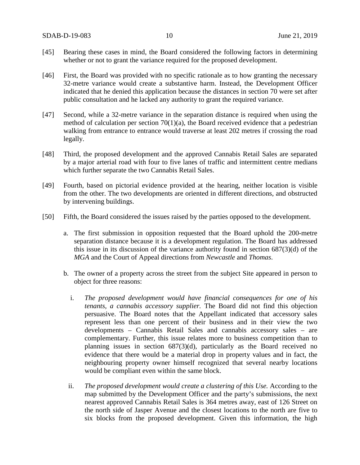- [45] Bearing these cases in mind, the Board considered the following factors in determining whether or not to grant the variance required for the proposed development.
- [46] First, the Board was provided with no specific rationale as to how granting the necessary 32-metre variance would create a substantive harm. Instead, the Development Officer indicated that he denied this application because the distances in section 70 were set after public consultation and he lacked any authority to grant the required variance.
- [47] Second, while a 32-metre variance in the separation distance is required when using the method of calculation per section  $70(1)(a)$ , the Board received evidence that a pedestrian walking from entrance to entrance would traverse at least 202 metres if crossing the road legally.
- [48] Third, the proposed development and the approved Cannabis Retail Sales are separated by a major arterial road with four to five lanes of traffic and intermittent centre medians which further separate the two Cannabis Retail Sales.
- [49] Fourth, based on pictorial evidence provided at the hearing, neither location is visible from the other. The two developments are oriented in different directions, and obstructed by intervening buildings.
- [50] Fifth, the Board considered the issues raised by the parties opposed to the development.
	- a. The first submission in opposition requested that the Board uphold the 200-metre separation distance because it is a development regulation. The Board has addressed this issue in its discussion of the variance authority found in section 687(3)(d) of the *MGA* and the Court of Appeal directions from *Newcastle* and *Thomas*.
	- b. The owner of a property across the street from the subject Site appeared in person to object for three reasons:
		- i. *The proposed development would have financial consequences for one of his tenants, a cannabis accessory supplier.* The Board did not find this objection persuasive. The Board notes that the Appellant indicated that accessory sales represent less than one percent of their business and in their view the two developments – Cannabis Retail Sales and cannabis accessory sales – are complementary. Further, this issue relates more to business competition than to planning issues in section 687(3)(d), particularly as the Board received no evidence that there would be a material drop in property values and in fact, the neighbouring property owner himself recognized that several nearby locations would be compliant even within the same block.
		- ii. *The proposed development would create a clustering of this Use.* According to the map submitted by the Development Officer and the party's submissions, the next nearest approved Cannabis Retail Sales is 364 metres away, east of 126 Street on the north side of Jasper Avenue and the closest locations to the north are five to six blocks from the proposed development. Given this information, the high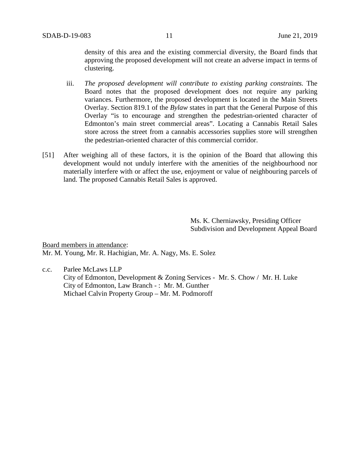density of this area and the existing commercial diversity, the Board finds that approving the proposed development will not create an adverse impact in terms of clustering.

- iii. *The proposed development will contribute to existing parking constraints.* The Board notes that the proposed development does not require any parking variances. Furthermore, the proposed development is located in the Main Streets Overlay. Section 819.1 of the *Bylaw* states in part that the General Purpose of this Overlay "is to encourage and strengthen the pedestrian-oriented character of Edmonton's main street commercial areas". Locating a Cannabis Retail Sales store across the street from a cannabis accessories supplies store will strengthen the pedestrian-oriented character of this commercial corridor.
- [51] After weighing all of these factors, it is the opinion of the Board that allowing this development would not unduly interfere with the amenities of the neighbourhood nor materially interfere with or affect the use, enjoyment or value of neighbouring parcels of land. The proposed Cannabis Retail Sales is approved.

Ms. K. Cherniawsky, Presiding Officer Subdivision and Development Appeal Board

Board members in attendance: Mr. M. Young, Mr. R. Hachigian, Mr. A. Nagy, Ms. E. Solez

c.c. Parlee McLaws LLP City of Edmonton, Development & Zoning Services - Mr. S. Chow / Mr. H. Luke City of Edmonton, Law Branch - : Mr. M. Gunther Michael Calvin Property Group – Mr. M. Podmoroff